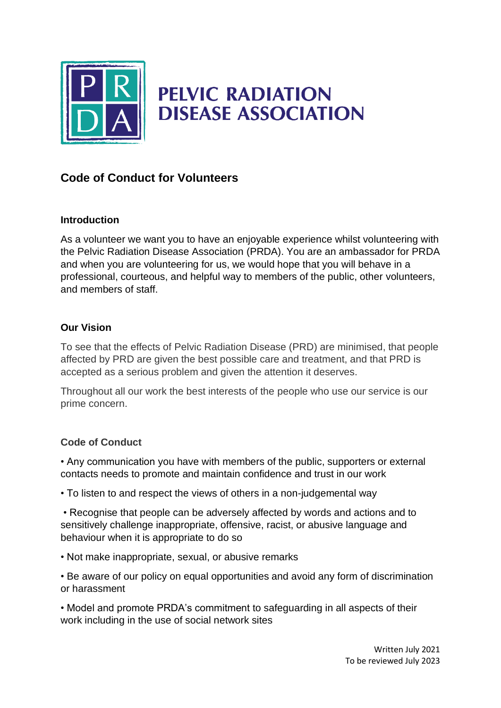

# **PELVIC RADIATION DISEASE ASSOCIATION**

## **Code of Conduct for Volunteers**

#### **Introduction**

As a volunteer we want you to have an enjoyable experience whilst volunteering with the Pelvic Radiation Disease Association (PRDA). You are an ambassador for PRDA and when you are volunteering for us, we would hope that you will behave in a professional, courteous, and helpful way to members of the public, other volunteers, and members of staff.

#### **Our Vision**

To see that the effects of Pelvic Radiation Disease (PRD) are minimised, that people affected by PRD are given the best possible care and treatment, and that PRD is accepted as a serious problem and given the attention it deserves.

Throughout all our work the best interests of the people who use our service is our prime concern.

### **Code of Conduct**

• Any communication you have with members of the public, supporters or external contacts needs to promote and maintain confidence and trust in our work

• To listen to and respect the views of others in a non-judgemental way

• Recognise that people can be adversely affected by words and actions and to sensitively challenge inappropriate, offensive, racist, or abusive language and behaviour when it is appropriate to do so

• Not make inappropriate, sexual, or abusive remarks

• Be aware of our policy on equal opportunities and avoid any form of discrimination or harassment

• Model and promote PRDA's commitment to safeguarding in all aspects of their work including in the use of social network sites